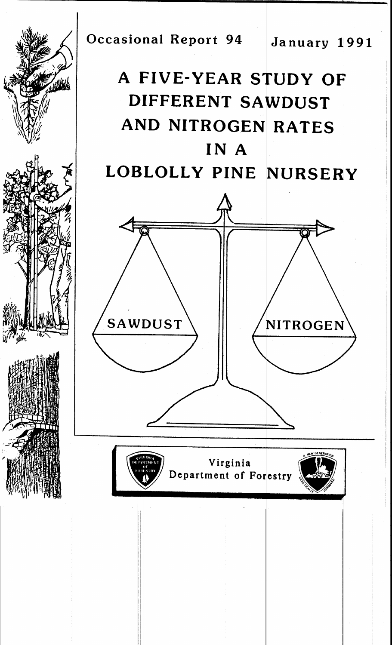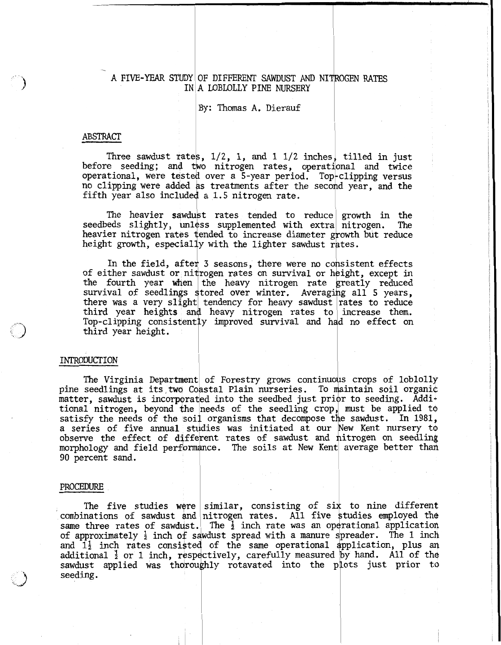# $\begin{array}{c} \begin{array}{c} \n\end{array} \n\end{array}$ A FIVE-YEAR STUDY OF DIFFERENT SAWDUST AND NI IN A **LOBLOLLY** PINE NURSERY

By: Thomas **A.** Dierauf

#### **ABSTRACT**

Three sawdust rates,  $1/2$ , 1, and 1  $1/2$  inches, tilled in just Infee sawdust rates, 1/2, 1, and 1 1/2 inches, tilled in just<br>before seeding; and two nitrogen rates, operational and twice operational, were tested over a 5-year period. Top-clipping versus no clipping were added as treatments after the second year, and the fifth year also included a 1.5 nitrogen rate. s, 1/2, 1, and 1 1/2 inches, tilled<br>wo nitrogen rates, operational as<br>d over a 5-year period. Top-clippin<br>as treatments after the second year<br>d a 1.5 nitrogen rate.<br>st rates tended to reduce growth

The heavier sawdust rates tended to reduce growth in the seedbeds slightly, unless supplemented with extra nitrogen. The heavier nitrogen rates tended to increase diameter growth but reduce The heavier sawdust rates tended to reduce<br>seedbeds slightly, unless supplemented with extra<br>heavier nitrogen rates tended to increase diameter gr<br>height growth, especially with the lighter sawdust ra<br>In the field, after 3

In the field, after 3 seasons, there were no consistent effects of either sawdust or nitrogen rates on survival or height, except in the fourth year when the heavy nitrogen rate greatly reduced survival of seedlings stored over winter. Averaging all 5 years, there was a very slight tendency for heavy sawdust rates to reduce third year heights and heavy nitrogen rates to increase them. Top-clipping consistently improved survival and had no effect on third year height. msistent exception.<br>
ing all 5 rates to<br>
increase<br>
ad no effective materials and the material

### INTRODUCTION

The Virginia Department of Forestry grows continuous crops of loblolly pine seedlings at its two Coastal Plain nurseries. To maintain soil organic matter, sawdust is incorporated into the seedbed just prior to seeding. Additional nitrogen, beyond the needs of the seedling crop, must be applied to satisfy the needs of the soil organisms that decompose the sawdust. In 1981, a series of five annual studies was initiated at our New Kent nursery to observe the effect of different rates of sawdust and nitrogen on seedling morphology and field performance. The soils at New Kent average better than 90 percent sand.

#### PROCEDURE

The five studies were similar, consisting of six to nine different combinations of sawdust and nitrogen rates. All five studies employed the same three rates of sawdust. The  $\frac{1}{2}$  inch rate was an operational application of approximately  $\frac{1}{2}$  inch of sawdust spread with a manure spreader. The 1 inch and  $1\frac{1}{2}$  inch rates consisted of the same operational application, plus an additional  $\frac{1}{2}$  or 1 inch, respectively, carefully measured by hand. All of the sawdust applied was thoroughly rotavated into the plots just prior to seeding.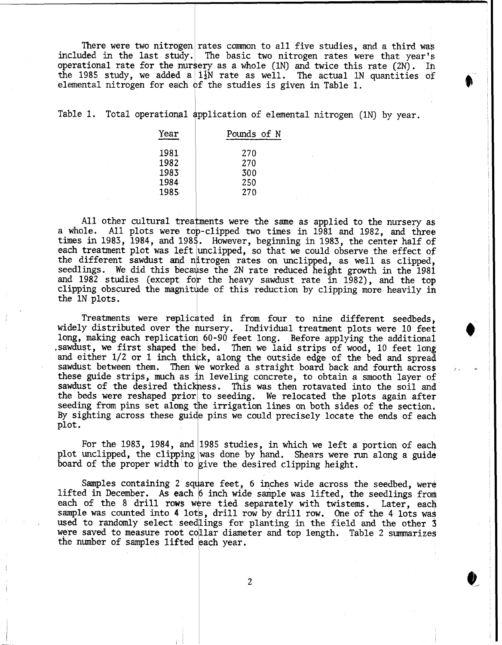There were two nitrogen rates common to all five studies, and a third was included in the last study. The basic two nitrogen rates were that year's operational rate for the nursery as a whole (1N) and twice this rate (2N). In the 1985 study, we added a  $1\frac{1}{2}N$  rate as well. The actual 1N quantities of elemental nitrogen for each of the studies is given in Table 1.

Table 1. Total operational application of elemental nitrogen (1N) by year.

| Year | Pounds of N |
|------|-------------|
| 1981 | 270         |
| 1982 | 270         |
| 1983 | 300         |
| 1984 | 250         |
| 1985 | 270         |
|      |             |

All other cultural treatments were the same as applied to the nursery as a whole. All plots were to p-clipped two times in 1981 and 1982, and three times in 1983, 1984, and 1985. However, beginning in 1983, the center half of each treatment plot was left unclipped, so that we could observe the effect of the different sawdust and n'trogen rates on unclipped, as well as clipped, seedlings. We did this because the 2N rate reduced height growth in the 1981 and 1982 studies (except for the heavy sawdust rate in 1982), and the top clipping obscured the magnitude of this reduction by clipping more heavily in the IN plots.

Treatments were replicated in from four to nine different seedbeds, widely distributed over the nursery. Individual treatment plots were 10 feet long, making each replication 60-90 feet long. Before applying the additional .sawdust, we first shaped the bed. Then we laid strips of wood, 10 feet long and either 1/2 or 1 inch thick, along the outside edge of the bed and spread sawdust between them. Then we worked a straight board back and fourth across these guide strips, much as in leveling concrete, to obtain a smooth layer of sawdust of the desired thickness. This was then rotavated into the soil and the beds were reshaped prior to seeding. We relocated the plots again after seeding from pins set along the irrigation lines on both sides of the section. By sighting across these guide pins we could precisely locate the ends of each plot.

For the 1983, 1984, and 1985 studies, in which we left a portion of each plot unclipped, the clipping was done by hand. Shears were run along a guide board of the proper width to give the desired clipping height.

Samples containing 2 square feet, 6 inches wide across the seedbed, were lifted in December. As each 6 inch wide sample was lifted, the seedlings from each of the 8 drill rows were tied separately with twistems. Later, each sample was counted into  $4$  lots, drill row by drill row. One of the 4 lots was used to randomly select seedlings for planting in the field and the other 3 were saved to measure root collar diameter and top length. Table 2 summarizes the number of samples lifted each year.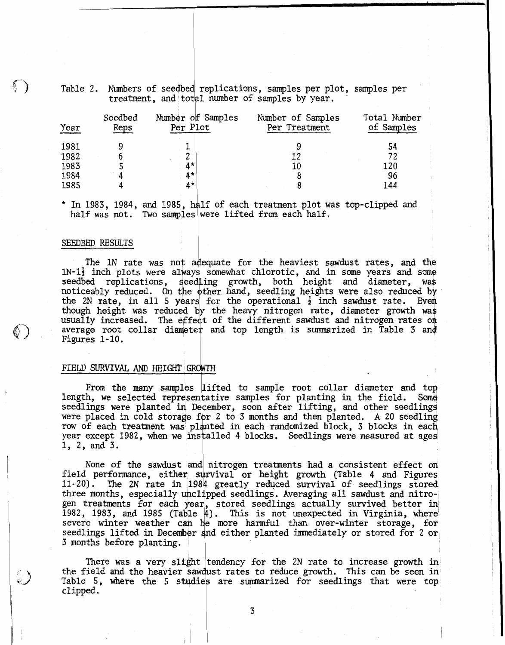|      |                 |                               | Table 2. Numbers of seedbed replications, samples per plot, samples per<br>treatment, and total number of samples by year. |                            |
|------|-----------------|-------------------------------|----------------------------------------------------------------------------------------------------------------------------|----------------------------|
| Year | Seedbed<br>Reps | Number of Samples<br>Per Plot | Number of Samples<br>Per Treatment                                                                                         | Total Number<br>of Samples |
| 1981 | 9               |                               | 9                                                                                                                          | 54                         |
| 1982 | 6               |                               | 12                                                                                                                         | 72                         |
| 1983 |                 | $4*$                          | 10                                                                                                                         | 120                        |
| 1984 | 4               | $4*$                          | 8                                                                                                                          | 96                         |
| 1985 |                 | $4*$                          | 8                                                                                                                          | 144                        |

\* In 1983, 1984, and 1985, half of each treatment plot was top-clipped and half was not. Two samples were lifted from each half.

#### SEEDBED RESULTS

The 1N rate was not adequate for the heaviest sawdust rates, and the  $1N-1\frac{1}{2}$  inch plots were always somewhat chlorotic, and in some years and some seedbed replications, seedling growth, both height and diameter, was noticeably reduced. On the other hand, seedling heights were also reduced by the 2N rate, in all 5 years for the operational  $\frac{1}{2}$  inch sawdust rate. Even though height was reduced by the heavy nitrogen rate, diameter growth was usually increased. The effect of the different sawdust and nitrogen rates on average root collar diameter and top length is summarized in Table 3 and Figures 1-10.

#### FIELD SURVIVAL AND **HEIGHT**

From the many samples lifted to sample root collar diameter and top length, we selected representative samples for planting in the field. Some seedlings were planted in December, soon after lifting, and other seedlings were placed in cold storage for 2 to 3 months and then planted. A 20 seedling row of each treatment was planted in each randomized block, 3 blocks in each year except 1982, when we installed 4 blocks. Seedlings were measured at ages 1, 2, and 3.

None of the sawdust and nitrogen treatments had a consistent effect on field performance, either survival or height growth (Table 4 and Figures 11-20). The 2N rate in 1984 greatly reduced survival of seedlings stored three months, especially unclipped seedlings. Averaging all sawdust and nitrogen treatments for each 1982, 1983, and 1985 (Table  $4$ ). This is not unexpected in Virginia, where severe winter weather can be more harmful than over-winter storage, for seedlings lifted in December and either planted immediately or stored for 2 or 3 months before planting.

There was a very slight tendency for the 2N rate to increase growth in the field and the heavier sawdust rates to reduce growth. This can be seen in Table 5, where the 5 studies are summarized for seedlings that were top clipped.

 $\overline{3}$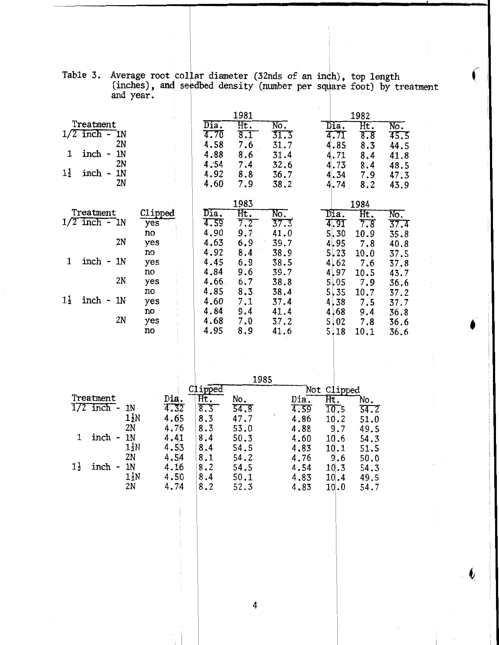|                                                  |           |              | 1981       |                                  |               | 1982                                        |                         |
|--------------------------------------------------|-----------|--------------|------------|----------------------------------|---------------|---------------------------------------------|-------------------------|
| Treatment<br>$1/2$ inch - 1N                     |           | Dia.<br>4.70 | Ht.<br>8.1 | $\overline{\text{No}}$ .<br>31.3 | Dia.          | $\overline{\text{Ht.}}$<br>$\overline{8.8}$ | No.                     |
| 2N                                               |           | 4.58         | 7.6        | 31.7                             | 4.71<br>4.85  | 8.3                                         | 45.5<br>44.5            |
| inch -<br>1N<br>1                                |           | 4.88         | 8.6        | 31.4                             | 4.71          | 8.4                                         | 41.8                    |
| 2N                                               |           | 4.54         | 7.4        | 32.6                             | 4.73          | 8.4                                         | 48.5                    |
| $1\frac{1}{2}$<br>inch -<br>1 <sub>N</sub><br>2N |           | 4.92<br>4.60 | 8.8<br>7.9 | 36.7<br>38.2                     | 4.34<br>4.74  | 7.9<br>8.2                                  | 47.3<br>43.9            |
|                                                  |           |              |            |                                  |               |                                             |                         |
|                                                  |           |              | 1983       |                                  |               | 1984                                        |                         |
| Treatment<br>$1/2$ inch - 1N                     | Clipped   | Dia.<br>4.59 | Ht.<br>7.2 | No.<br>37.3                      | Dia.          | Ht.                                         | $\overline{\text{No.}}$ |
|                                                  | yes<br>no | 4.90         | 9.7        | 41.0                             | 4.91<br>5, 30 | 7.8<br>10.9                                 | 37.4<br>35.8            |
| 2N                                               | yes       | 4.63         | 6.9        | 39.7                             | 4,95          | 7.8                                         | 40.8                    |
|                                                  | no        | 4.92         | 8.4        | 38.9                             | 5,23          | 10.0                                        | 37.5                    |
| 1<br>inch -<br>1 <sub>N</sub>                    | yes<br>no | 4.45<br>4.84 | 6.9<br>9.6 | 38.5<br>39.7                     | 4.62<br>4.97  | 7.6<br>10.5                                 | 37.8<br>43.7            |
| 2N                                               | yes       | 4.66         | 6.7        | 38.8                             | 5,05          | 7.9                                         | 36.6                    |
|                                                  | no        | 4.85         | 8.3        | 38.4                             | 5, 35         | 10.7                                        | 37.2                    |
| $1\frac{1}{2}$<br>inch -<br>1 <sub>N</sub>       | yes       | 4.60         | 7.1        | 37.4                             | 4,38          | 7.5                                         | 37.7                    |
| 2N                                               | no<br>yes | 4.84<br>4.68 | 9.4<br>7.0 | 41.4<br>37.2                     | 4,68<br>5,02  | 9.4<br>7.8                                  | 36.8<br>36.6            |
|                                                  | no        | 4.95         | 8.9        | 41.6                             | 5.18          | 10.1                                        | 36.6                    |
|                                                  |           |              |            |                                  |               |                                             |                         |
|                                                  |           |              |            |                                  |               |                                             |                         |
|                                                  |           |              |            |                                  |               |                                             |                         |
|                                                  |           |              | 1985       |                                  |               |                                             |                         |

|           |  | Table 3. Average root collar diameter (32nds of an inch), top length<br>(inches), and seedbed density (number per square foot) by treatment |  |  |  |
|-----------|--|---------------------------------------------------------------------------------------------------------------------------------------------|--|--|--|
| and year. |  |                                                                                                                                             |  |  |  |

|                        |                |     |      |              | 1985 |      |                   |      |
|------------------------|----------------|-----|------|--------------|------|------|-------------------|------|
|                        |                |     |      | <i>apped</i> |      | Not  | Clipped           |      |
| Treatment              |                |     | Dia. | Ht.          | No.  | Dia. | Ht.               | No.  |
| $1/2$ inch -           |                | 1N  | 4.32 | 8.3          | 54.8 | 4.59 | $\overline{10.5}$ | 54.2 |
|                        |                | 1½N | 4.65 | 8.3          | 47.7 | 4.86 | 10.2              | 51.0 |
|                        |                | 2N  | 4.76 | 8.3          | 53.0 | 4.88 | 9.7               | 49.5 |
| inch                   |                | 1N  | 4.41 | 8.4          | 50.3 | 4.60 | 10.6              | 54.3 |
|                        |                | 1½N | 4.53 | 8.4          | 54.5 | 4.83 | 10.1              | 51.5 |
|                        |                | 2N  | 4.54 | 8.1          | 54.2 | 4.76 | 9.6               | 50.0 |
| $1\frac{1}{2}$<br>inch | $\blacksquare$ | 1N  | 4.16 | 8.2          | 54.5 | 4.54 | 10.3              | 54.3 |
|                        |                | 1½N | 4.50 | 8.4          | 50.1 | 4.83 | 10.4              | 49.5 |
|                        |                | 2N  | 4.74 | 8.2          | 52.3 | 4.83 | 10.0              | 54.7 |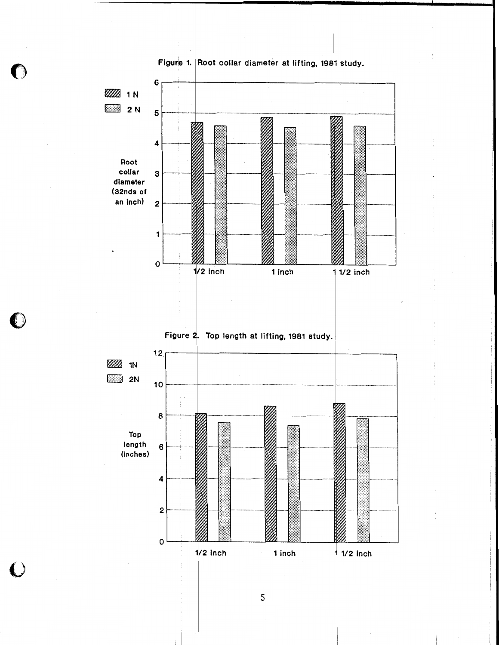

 $\mathfrak{d}$  )

 $\left( \right)$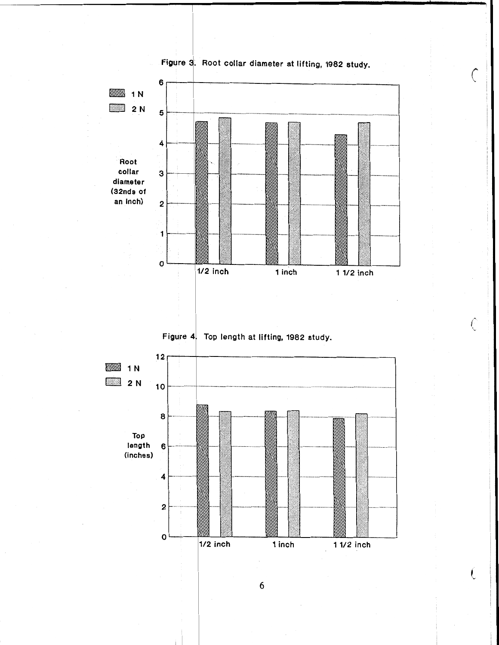

Figure 3. Root collar diameter at lifting, 1982 study.

ŧ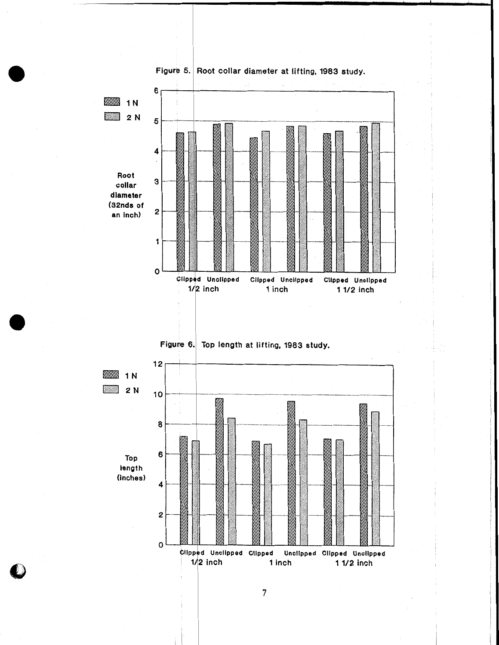



 $\overline{7}$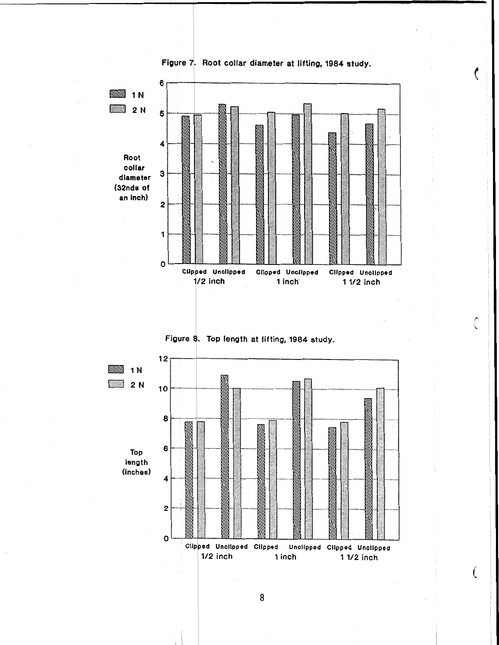





€

Ĉ

€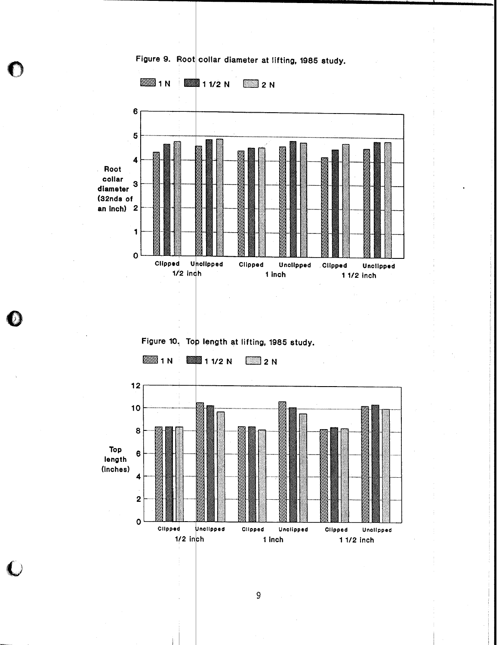

Figure 9. Root collar diameter at lifting, 1985 study.

 $\boldsymbol{9}$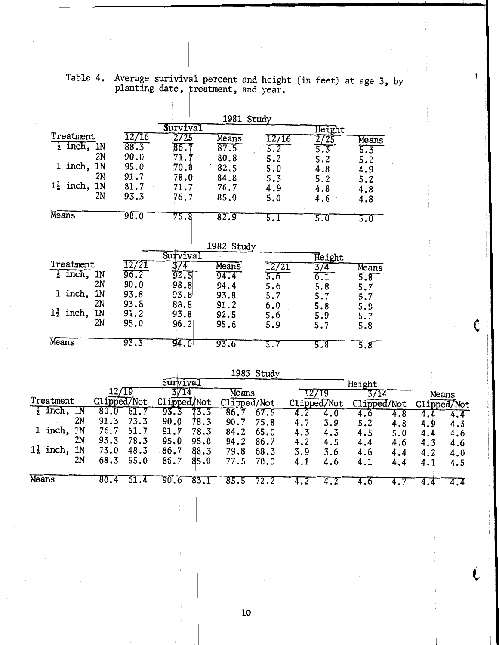|       |                          | $1a$ <sub>Ult</sub> $4$ . |              |               |              |              |              | Average surivival percent and height (in feet) at age 3, by<br>planting date, treatment, and year. |            |             |             |            |            |             |  |
|-------|--------------------------|---------------------------|--------------|---------------|--------------|--------------|--------------|----------------------------------------------------------------------------------------------------|------------|-------------|-------------|------------|------------|-------------|--|
|       |                          |                           |              |               |              |              |              |                                                                                                    |            |             |             |            |            |             |  |
|       |                          |                           |              |               |              |              |              | 1981 Study                                                                                         |            |             |             |            |            |             |  |
|       |                          |                           |              |               | Survival     |              |              |                                                                                                    |            | Height      |             |            |            |             |  |
|       | Treatment                |                           |              | 12/16         | 2/25         |              | Means        | 12/16                                                                                              |            | 2/25        | Means       |            |            |             |  |
|       |                          | $\frac{1}{2}$ inch, 1N    |              | 88.3          | 86.7         |              | 87.5         | $\overline{5.2}$                                                                                   |            | 5.3         | 5.3         |            |            |             |  |
|       |                          |                           | 2N           | 90.0          | 71.7         |              | 80.8         | 5.2                                                                                                |            | 5.2         | 5.2         |            |            |             |  |
|       |                          | $1$ inch, $1N$            |              | 95.0          | 70.0         |              | 82.5         | 5.0                                                                                                |            | 4.8         | 4.9         |            |            |             |  |
|       |                          |                           | 2N           | 91.7          | 78.0         |              | 84.8         | 5.3                                                                                                |            | 5.2         | 5.2         |            |            |             |  |
|       | $1\frac{1}{2}$ inch, 1N  |                           |              | 81.7          | 71.7         |              | 76.7         | 4.9                                                                                                |            | 4.8         | 4.8         |            |            |             |  |
|       |                          |                           | 2N           | 93.3          | 76.7         |              | 85.0         | 5.0                                                                                                |            | 4.6         | 4.8         |            |            |             |  |
|       | Means                    |                           |              | 90.0          | 75.8         |              | 82.9         | 5.1                                                                                                |            | 5.0         | 5.0         |            |            |             |  |
|       |                          |                           |              |               |              |              |              |                                                                                                    |            |             |             |            |            |             |  |
|       |                          |                           |              |               |              |              | 1982 Study   |                                                                                                    |            |             |             |            |            |             |  |
|       |                          |                           |              |               | Survival     |              |              |                                                                                                    |            | Height      |             |            |            |             |  |
|       | Treatment                |                           |              | 12/21<br>96.2 | 3/4          |              | Means        | 12/21                                                                                              |            | 3/4         | Means       |            |            |             |  |
|       |                          | $\frac{1}{2}$ inch, 1N    | 2N           | 90.0          | 92.5         |              | 94.4         | 5.6                                                                                                |            | 6.1         | 5.8         |            |            |             |  |
|       |                          | 1 inch, 1N                |              | 93.8          | 98.8<br>93.8 |              | 94.4         | 5.6                                                                                                |            | 5.8         | 5.7         |            |            |             |  |
|       |                          |                           | 2N           | 93.8          | 88.8         |              | 93.8<br>91.2 | 5.7                                                                                                |            | 5.7         | 5.7         |            |            |             |  |
|       | $1\frac{1}{2}$ inch, 1N  |                           |              | 91.2          | 93.8         |              | 92.5         | 6.0                                                                                                |            | 5.8         | 5.9         |            |            |             |  |
|       |                          |                           | 2N           | 95.0          | 96.2         |              | 95.6         | 5.6<br>5.9                                                                                         |            | 5.9<br>5.7  | 5.7         |            |            |             |  |
|       |                          |                           |              |               |              |              |              |                                                                                                    |            |             | 5.8         |            |            |             |  |
|       | Means                    |                           |              | 93.3          | 94.0         |              | 93.6         | 5.7                                                                                                |            | 5.8         | 5.8         |            |            |             |  |
|       |                          |                           |              |               |              |              |              |                                                                                                    |            |             |             |            |            |             |  |
|       |                          |                           |              |               |              |              |              | 1983 Study                                                                                         |            |             |             |            |            |             |  |
|       |                          |                           |              |               | Survival     |              |              |                                                                                                    |            |             | Height      |            |            |             |  |
|       |                          |                           |              | 12/T9         | 3/14         |              | Means        |                                                                                                    |            | 12/19       | 3/14        |            |            | Means       |  |
|       | Treatment                |                           |              | Clipped/Not   | Clipped/Not  |              |              | Clipped/Not                                                                                        |            | Clipped/Not | Clipped/Not |            |            | Clipped/Not |  |
|       | $\frac{1}{2}$ inch, $1N$ | 2N                        | 80.0         | 61.7          | 93.3         | 73.3         | 86.7         | 67.5                                                                                               | 4.2        | 4.0         | 4.6         | 4.8        | 4.4        | 4.4         |  |
|       | 1 inch, 1N               |                           | 91.3<br>76.7 | 73.3<br>51.7  | 90.0         | 78.3         | 90.7         | 75.8                                                                                               | 4.7        | 3.9         | 5.2         | 4.8        | 4.9        | 4.3         |  |
|       |                          | 2N                        | 93.3         | 78.3          | 91.7<br>95.0 | 78.3<br>95.0 | 84.2<br>94.2 | 65.0                                                                                               | 4.3        | 4.3         | 4.5         | 5.0        | 4.4        | 4.6         |  |
|       | $1\frac{1}{2}$ inch, 1N  |                           | 73.0         | 48.3          | 86.7         | 88.3         | 79.8         | 86.7<br>68.3                                                                                       | 4.2        | 4.5         | 4.4         | 4.6        | 4.3        | 4.6         |  |
|       |                          | 2N                        | 68.3         | 55.0          | 86.7         | 85.0         | 77.5         | 70.0                                                                                               | 3.9<br>4.1 | 3.6<br>4.6  | 4.6<br>4.1  | 4.4<br>4.4 | 4.2<br>4.1 | 4.0<br>4.5  |  |
| Means |                          |                           | 80.4         | 61.4          | 90.6         | 83.1         | 85.5         |                                                                                                    |            |             |             |            |            |             |  |
|       |                          |                           |              |               |              |              |              | 72.2                                                                                               | 4.2        | 4.2         | 4.6         | 4.7        | 4.4        | 4.4         |  |

Table 4. Average suriviv 1 percent and height (in feet) at age **3,** by

L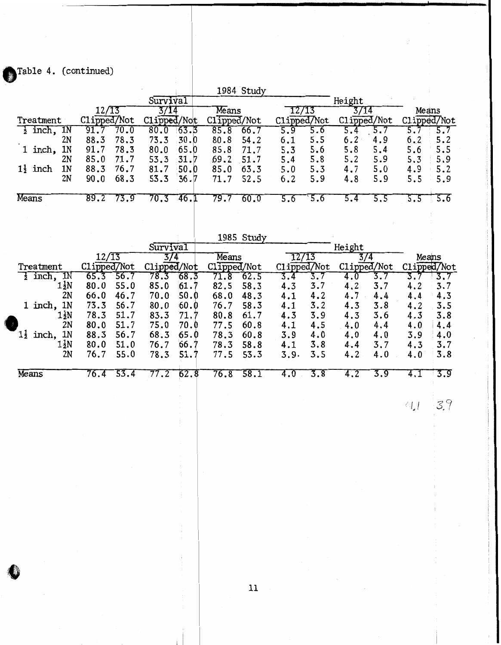Table 4. (continued)

|                              |              |              | 1984 Study   |                      |             |            |
|------------------------------|--------------|--------------|--------------|----------------------|-------------|------------|
|                              |              | Survival     |              |                      | Height      |            |
|                              |              |              | Means        | /13                  |             | Means      |
| Treatment                    | Clipped/Not  | Clipped/Not  | Clipped/Not  | Clipped/Not          | Clipped/Not | ipped/Not  |
| inch, 1N                     | 70.0         | 63.3<br>80.0 | 85.8<br>66.7 | 5.9<br>5.6           |             |            |
| 2N                           | 78.3<br>88.3 | 30.0<br>73.3 | 54.2<br>80.8 | 5.5<br>6.1           | 6.2<br>4.9  | 6.2<br>5.2 |
| 1N<br>inch,                  | 78.3<br>91.7 | 65.0<br>80.0 | 85.8<br>71.7 | 5.6<br>5.3           | 5.8<br>5.4  | 5.6<br>5.5 |
| 2N                           | 85.0<br>71.7 | 53.3<br>31.7 | 69.2<br>51.7 | 5.8<br>5.4           | 5.2<br>5.9  | 5.9<br>5.3 |
| 1N<br>$1\frac{1}{2}$<br>inch | 76.7<br>88.3 | 50.0<br>81.7 | 85.0<br>63.3 | 5.3<br>5.0           | 4.7<br>5.0  | 4.9<br>5.2 |
| 2N                           | 68.3<br>90.0 | 53.3<br>36.7 | 52.5<br>71.7 | 5.9<br>6.2           | 5.9<br>4.8  | 5.9<br>5.5 |
|                              |              |              |              |                      |             |            |
| Means                        | 89.2         | 46           | 79.          | $\cdot^{\mathrm{o}}$ |             | 5.6        |

|                               |             |      |             |      |             | 1985 Study |             |     |               |     |     |             |
|-------------------------------|-------------|------|-------------|------|-------------|------------|-------------|-----|---------------|-----|-----|-------------|
|                               |             |      | Survival    |      |             |            |             |     | Height        |     |     |             |
|                               | 12/13       |      | 3/4         |      | Means       |            |             |     | $\frac{3}{4}$ |     |     | Means       |
| Treatment                     | Clipped/Not |      | Clipped/Not |      | Clipped/Not |            | Clipped/Not |     | Clipped/Not   |     |     | Clipped/Not |
| 1N<br>inch,                   |             | 56   | 78          | 68   |             | 62.5       |             |     |               |     |     |             |
| 1½N                           | 80.0        | 55.0 | 85.0        | 61.  | 82.5        | 58.3       | 4.3         | 3.7 | 4.2           | 3.7 | 4.2 | 3.7         |
| 2N                            | 66.0        | 46.7 | 70.0        | 50.0 | 68.0        | 48.3       | 4.1         | 4.2 | 4.7           | 4.4 | 4.4 | 4.3         |
| 1N<br>1 inch,                 | 73.3        | 56.7 | 80.0        | 60.0 | 76.7        | 58.3       | 4.1         | 3.2 | 4.3           | 3.8 | 4.2 | 3.5         |
| 1½N                           | 78.3        | 51.7 | 83.3        | 71.7 | 80.8        | 61.7       | 4.3         | 3.9 | 4.3           | 3.6 | 4.3 | 3.8         |
| 2N                            | 80.0        | 51.7 | 75.0        | 70.0 | 77.5        | 60.8       | 4.1         | 4.5 | 4.0           | 4.4 | 4.0 | 4.4         |
| 1 <sub>N</sub><br>11<br>inch, | 88.3        | 56.7 | 68.3        | 65.0 | 78.3        | 60.8       | 3.9         | 4.0 | 4.0           | 4.0 | 3.9 | 4.0         |
| 1 ZN                          | 80.0        | 51.0 | 76.7        | 66.7 | 78.3        | 58.8       | 4.1         | 3.8 | 4.4           | 3.7 | 4.3 | 3.7         |
| 2N                            | 76.7        | 55.0 | 78.3        | 51.7 | 77.5        | 53.3       | 3.9.        | 3.5 | 4.2           | 4.0 | 4.0 | 3.8         |
| Means                         | 76.4        | 53.4 |             | 62.8 | 76.8        | 58.1       | 4.U         | 3.8 |               | 3.9 |     | 3.9         |
|                               |             |      |             |      |             |            |             |     |               |     |     |             |

 $41 - 39$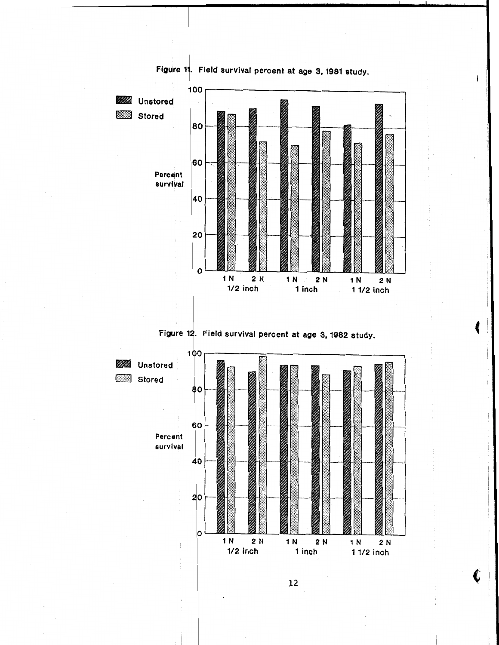

€



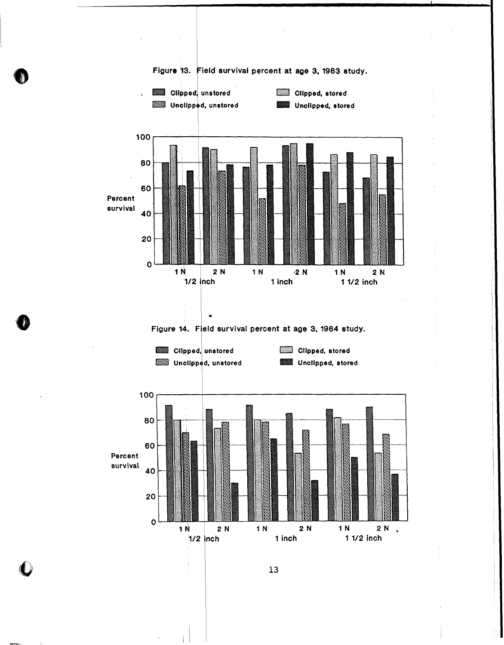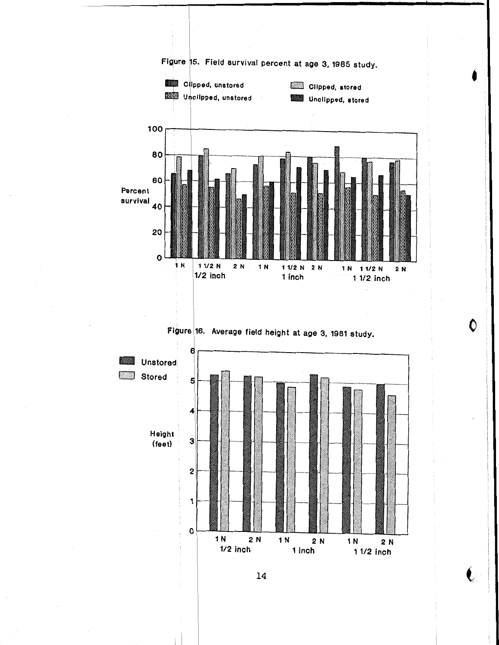

 $\bullet$ 

♦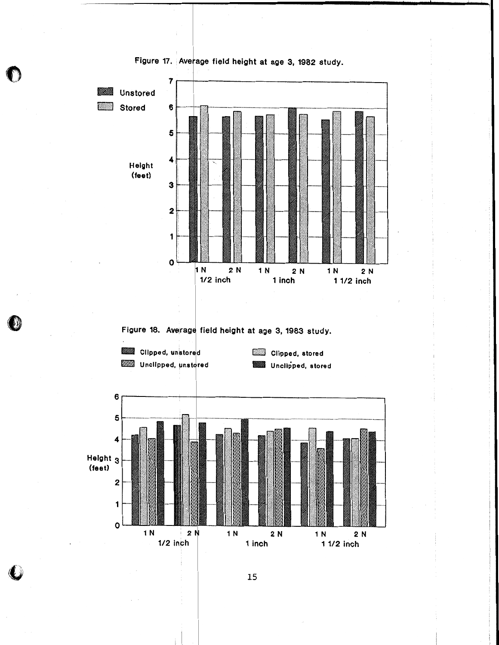

**Figure 17. Ave age field height at age 3, 1982 study.**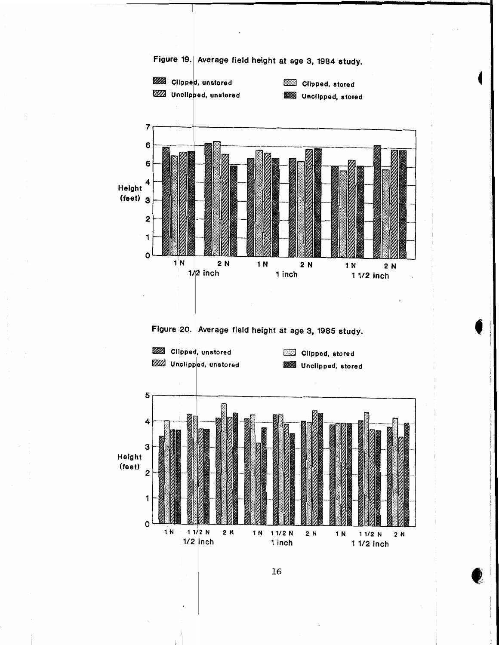

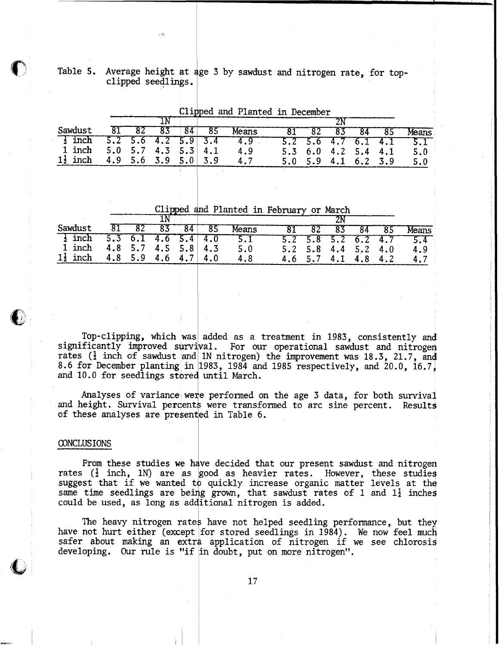Table 5. Average height at age 3 by sawdust and nitrogen rate, for top-<br>clipped seedlings.

| Sawdust             |        |                       | 81 82 83 |  | $ 84 $ 85           | Means                     |  | 81 82 83 84 85                |                                   | Means                     |
|---------------------|--------|-----------------------|----------|--|---------------------|---------------------------|--|-------------------------------|-----------------------------------|---------------------------|
| $\frac{1}{2}$ inch  |        |                       |          |  |                     | $5.2$ 5.6 4.2 5.9 3.4 4.9 |  |                               |                                   | $5.2$ 5.6 4.7 6.1 4.1 5.1 |
|                     | 1 inch | $5.0$ 5.7 4.3 5.3 4.1 |          |  |                     | 4.9                       |  |                               | $5.3 \t 6.0 \t 4.2 \t 5.4 \t 4.1$ | $5.0^\circ$               |
| $1\frac{1}{2}$ inch |        |                       |          |  | 4.9 5.6 3.9 5.0 3.9 | 4.7                       |  | $5.0$ $5.9$ $4.1$ $6.2$ $3.9$ |                                   | 5.0                       |

Clipped and Planted in December

Clipped nd Planted in February or March

| Sawdust             |                     | 81 82 83 84         | $-85$                         | Means |  | 81 82 83 84 85                |  | Means                               |
|---------------------|---------------------|---------------------|-------------------------------|-------|--|-------------------------------|--|-------------------------------------|
| $\frac{1}{2}$ inch  |                     |                     | $5.3 \t6.1 \t4.6 \t5.4 \t4.0$ | 5.1   |  |                               |  | $5.2$ $5.8$ $5.2$ $6.2$ $4.7$ $5.4$ |
| 1 inch              | 4.8 5.7 4.5 5.8 4.3 |                     |                               | 5.0   |  | $5.2$ $5.8$ $4.4$ $5.2$ $4.0$ |  | 4.9                                 |
| $1\frac{1}{2}$ inch |                     | 4.8 5.9 4.6 4.7 4.0 |                               | 4.8   |  | 4.6 5.7 4.1 4.8 4.2           |  | 4.7                                 |

Top-clipping, which was added as a treatment in 1983, consistently and significantly improved survival. For our operational sawdust and nitrogen rates ( $\frac{1}{2}$  inch of sawdust and 1N nitrogen) the improvement was 18.3, 21.7, and 8.6 for December planting in  $1983$ , 1984 and 1985 respectively, and 20.0, 16.7, and 10.0 for seedlings stored until March.

Analyses of variance were performed on the age 3 data, for both survival and height. Survival percents were transformed to arc sine percent. Results of these analyses are presented in Table 6.

#### CONCLUSIONS

From these studies **we** decided that our present sawdust and nitrogen rates  $(\frac{1}{2}$  inch, 1N) are as good as heavier rates. However, these studies suggest that if we wanted to quickly increase organic matter levels at the same time seedlings are being grown, that sawdust rates of 1 and  $1\frac{1}{2}$  inches could be used, as long as additional nitrogen is added.

The heavy nitrogen rates have not helped seedling performance, but they have not hurt either (except for stored seedlings in 1984). We now feel much safer about making an extra application of nitrogen if we see chlorosis developing. Our rule is "if in doubt, put on more nitrogen".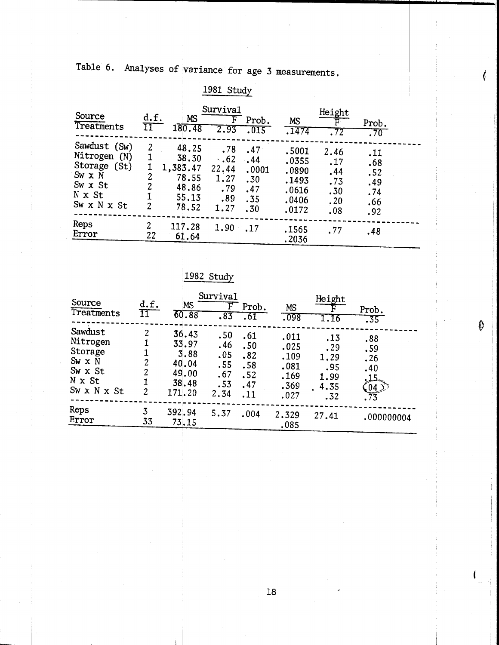Table 6. Analyses of variance for age 3 measurements.

|                                                                                                      |                               |                                                                | 1981 Study                                                             |                                                   |                                                             |                                                |                                               |  |
|------------------------------------------------------------------------------------------------------|-------------------------------|----------------------------------------------------------------|------------------------------------------------------------------------|---------------------------------------------------|-------------------------------------------------------------|------------------------------------------------|-----------------------------------------------|--|
| Source<br>Treatments                                                                                 | d.f.<br>$\overline{\rm 11}^-$ | <b>MS</b><br>180.48                                            | Survival<br>F.<br>2.93                                                 | Prob.<br>.015                                     | MS<br>.1474                                                 | Height<br>. 72                                 | Prob.<br>.70 <sub>1</sub>                     |  |
| Sawdust (Sw)<br>Nitrogen<br>(N)<br>Storage (St)<br>$Sw \times N$<br>Sw x St<br>N x St<br>Sw x N x St | 2<br>2<br>2<br>1<br>2         | 48.25<br>38.30<br>1,383.47<br>78.55<br>48.86<br>55.13<br>78.52 | .78<br>$\ddot{\phantom{0}}$ .62<br>22.44<br>1.27<br>.79<br>.89<br>1.27 | .47<br>$-44$<br>.0001<br>.30<br>.47<br>.35<br>.30 | .5001<br>.0355<br>.0890<br>.1493<br>.0616<br>.0406<br>.0172 | 2.46<br>.17<br>.44<br>.73<br>.30<br>.20<br>.08 | .11<br>.68<br>.52<br>.49<br>.74<br>.66<br>.92 |  |
| Reps<br>Error                                                                                        | 2<br>22                       | 117.28<br>61.64                                                | 1.90                                                                   | $\cdot$ .17                                       | .1565<br>.2036                                              | .77                                            | .48                                           |  |

## <u>1982 Study</u>

| Source<br>Treatments                                                                | d.f.<br>$\overline{\rm 11}^-$ | MS<br>60.88                                                 | Survival<br>$\overline{\mathrm{F}}$<br>.83     | Prob.<br>.61                                  | MS<br>.098                                           | Height<br>1.16                                   | Prob.<br>.35                                       |
|-------------------------------------------------------------------------------------|-------------------------------|-------------------------------------------------------------|------------------------------------------------|-----------------------------------------------|------------------------------------------------------|--------------------------------------------------|----------------------------------------------------|
| Sawdust<br>Nitrogen<br>Storage<br>$Sw \times N$<br>Sw x St<br>N x St<br>Sw x N x St | 2<br>2<br>2<br>1<br>2         | 36.43<br>33.97<br>3.88<br>40.04<br>49.00<br>38.48<br>171.20 | .50<br>.46<br>.05<br>.55<br>.67<br>.53<br>2.34 | .61<br>.50<br>.82<br>.58<br>.52<br>.47<br>.11 | .011<br>.025<br>.109<br>.081<br>.169<br>.369<br>.027 | .13<br>.29<br>1.29<br>.95<br>1.99<br>4.35<br>.32 | .88<br>.59<br>.26<br>.40<br>.15<br>$\frac{04}{73}$ |
| Reps<br>Error                                                                       | 3<br>33                       | 392.94<br>73.15                                             | 5.37                                           | .004                                          | 2.329<br>.085                                        | 27.41                                            | .000000004                                         |

0

 $18\,$